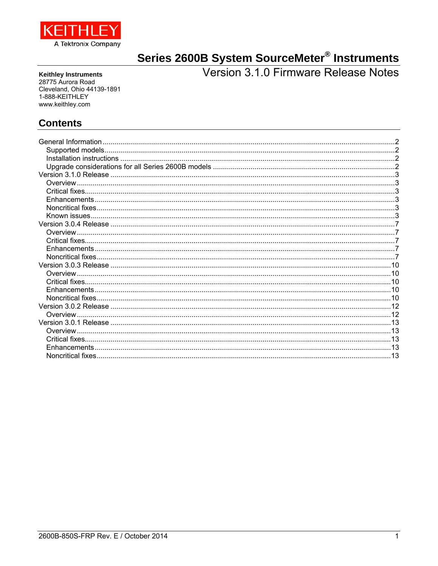

# Series 2600B System SourceMeter<sup>®</sup> Instruments<br>Version 3.1.0 Firmware Release Notes

**Keithley Instruments** 28775 Aurora Road Cleveland, Ohio 44139-1891 1-888-KEITHLEY www.keithley.com

# **Contents**

| General Information |  |
|---------------------|--|
|                     |  |
|                     |  |
|                     |  |
|                     |  |
|                     |  |
|                     |  |
|                     |  |
|                     |  |
| Known issues        |  |
|                     |  |
| Overview.           |  |
|                     |  |
|                     |  |
|                     |  |
|                     |  |
|                     |  |
|                     |  |
|                     |  |
|                     |  |
|                     |  |
| Overview.           |  |
|                     |  |
| Overview            |  |
|                     |  |
|                     |  |
|                     |  |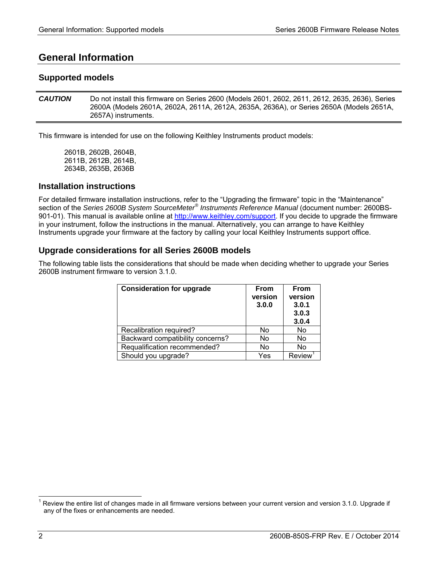# **General Information**

# **Supported models**

*CAUTION* Do not install this firmware on Series 2600 (Models 2601, 2602, 2611, 2612, 2635, 2636), Series 2600A (Models 2601A, 2602A, 2611A, 2612A, 2635A, 2636A), or Series 2650A (Models 2651A, 2657A) instruments.

This firmware is intended for use on the following Keithley Instruments product models:

2601B, 2602B, 2604B, 2611B, 2612B, 2614B, 2634B, 2635B, 2636B

## **Installation instructions**

For detailed firmware installation instructions, refer to the "Upgrading the firmware" topic in the "Maintenance" section of the *Series 2600B System SourceMeter® Instruments Reference Manual* (document number: 2600BS-901-01). This manual is available online at http://www.keithley.com/support. If you decide to upgrade the firmware in your instrument, follow the instructions in the manual. Alternatively, you can arrange to have Keithley Instruments upgrade your firmware at the factory by calling your local Keithley Instruments support office.

# **Upgrade considerations for all Series 2600B models**

The following table lists the considerations that should be made when deciding whether to upgrade your Series 2600B instrument firmware to version 3.1.0.

| <b>Consideration for upgrade</b> | <b>From</b><br>version<br>3.0.0 | <b>From</b><br>version<br>3.0.1<br>3.0.3<br>3.0.4 |
|----------------------------------|---------------------------------|---------------------------------------------------|
| Recalibration required?          | No                              | No                                                |
| Backward compatibility concerns? | No                              | No                                                |
| Requalification recommended?     | No                              | No                                                |
| Should you upgrade?              | Yes                             | <b>Review</b>                                     |

l

<sup>1</sup> Review the entire list of changes made in all firmware versions between your current version and version 3.1.0. Upgrade if any of the fixes or enhancements are needed.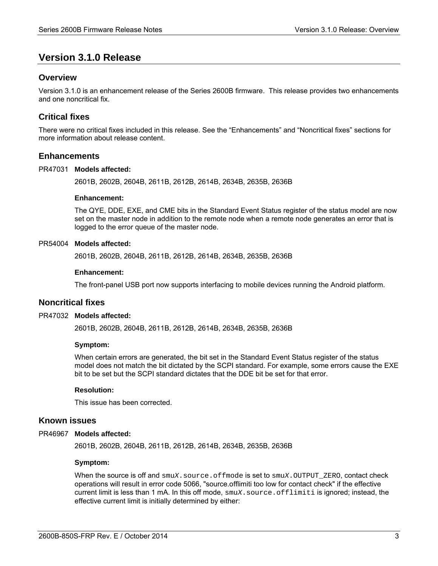# **Version 3.1.0 Release**

# **Overview**

Version 3.1.0 is an enhancement release of the Series 2600B firmware. This release provides two enhancements and one noncritical fix.

# **Critical fixes**

There were no critical fixes included in this release. See the "Enhancements" and "Noncritical fixes" sections for more information about release content.

## **Enhancements**

#### PR47031 **Models affected:**

2601B, 2602B, 2604B, 2611B, 2612B, 2614B, 2634B, 2635B, 2636B

#### **Enhancement:**

The QYE, DDE, EXE, and CME bits in the Standard Event Status register of the status model are now set on the master node in addition to the remote node when a remote node generates an error that is logged to the error queue of the master node.

#### PR54004 **Models affected:**

2601B, 2602B, 2604B, 2611B, 2612B, 2614B, 2634B, 2635B, 2636B

#### **Enhancement:**

The front-panel USB port now supports interfacing to mobile devices running the Android platform.

## **Noncritical fixes**

#### PR47032 **Models affected:**

2601B, 2602B, 2604B, 2611B, 2612B, 2614B, 2634B, 2635B, 2636B

#### **Symptom:**

When certain errors are generated, the bit set in the Standard Event Status register of the status model does not match the bit dictated by the SCPI standard. For example, some errors cause the EXE bit to be set but the SCPI standard dictates that the DDE bit be set for that error.

#### **Resolution:**

This issue has been corrected.

#### **Known issues**

#### PR46967 Models affected:

2601B, 2602B, 2604B, 2611B, 2612B, 2614B, 2634B, 2635B, 2636B

#### **Symptom:**

When the source is off and  $\text{smuX}$ . source.of fmode is set to  $\text{smuX}$ . OUTPUT\_ZERO, contact check operations will result in error code 5066, "source.offlimiti too low for contact check" if the effective current limit is less than 1 mA. In this off mode, smu*X*.source.offlimiti is ignored; instead, the effective current limit is initially determined by either: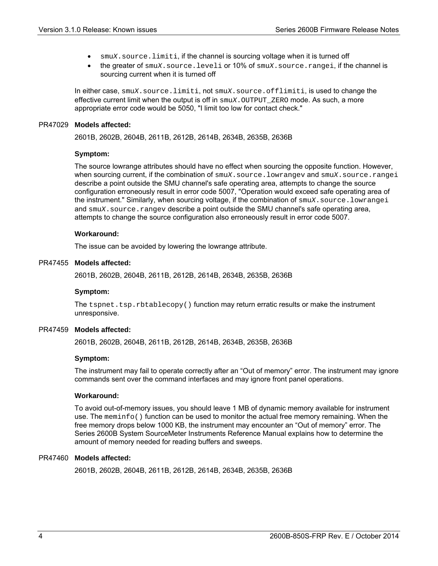- smu*X*.source.limiti, if the channel is sourcing voltage when it is turned off
- the greater of smu*X*.source.leveli or 10% of smu*X*.source.rangei, if the channel is sourcing current when it is turned off

In either case, smu*X*.source.limiti, not smu*X*.source.offlimiti, is used to change the effective current limit when the output is off in  $\text{smu}X$ . OUTPUT\_ZERO mode. As such, a more appropriate error code would be 5050, "I limit too low for contact check."

#### PR47029 **Models affected:**

2601B, 2602B, 2604B, 2611B, 2612B, 2614B, 2634B, 2635B, 2636B

#### **Symptom:**

The source lowrange attributes should have no effect when sourcing the opposite function. However, when sourcing current, if the combination of smu*X*.source.lowrangev and smu*X*.source.rangei describe a point outside the SMU channel's safe operating area, attempts to change the source configuration erroneously result in error code 5007, "Operation would exceed safe operating area of the instrument." Similarly, when sourcing voltage, if the combination of smu*X*.source.lowrangei and smu*X*. source.rangev describe a point outside the SMU channel's safe operating area, attempts to change the source configuration also erroneously result in error code 5007.

#### **Workaround:**

The issue can be avoided by lowering the lowrange attribute.

#### PR47455 **Models affected:**

2601B, 2602B, 2604B, 2611B, 2612B, 2614B, 2634B, 2635B, 2636B

#### **Symptom:**

The  $t$  spnet.tsp.rbtablecopy() function may return erratic results or make the instrument unresponsive.

#### **Models affected:**  PR47459

2601B, 2602B, 2604B, 2611B, 2612B, 2614B, 2634B, 2635B, 2636B

#### **Symptom:**

The instrument may fail to operate correctly after an "Out of memory" error. The instrument may ignore commands sent over the command interfaces and may ignore front panel operations.

#### **Workaround:**

To avoid out-of-memory issues, you should leave 1 MB of dynamic memory available for instrument use. The meminfo() function can be used to monitor the actual free memory remaining. When the free memory drops below 1000 KB, the instrument may encounter an "Out of memory" error. The Series 2600B System SourceMeter Instruments Reference Manual explains how to determine the amount of memory needed for reading buffers and sweeps.

#### PR47460 Models affected:

2601B, 2602B, 2604B, 2611B, 2612B, 2614B, 2634B, 2635B, 2636B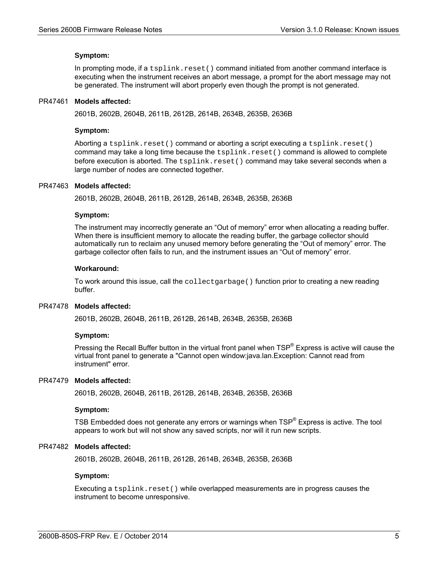#### **Symptom:**

In prompting mode, if a  $t$ splink.reset() command initiated from another command interface is executing when the instrument receives an abort message, a prompt for the abort message may not be generated. The instrument will abort properly even though the prompt is not generated.

#### PR47461 **Models affected:**

2601B, 2602B, 2604B, 2611B, 2612B, 2614B, 2634B, 2635B, 2636B

#### **Symptom:**

Aborting a tsplink.reset() command or aborting a script executing a tsplink.reset() command may take a long time because the  $t$ splink.reset() command is allowed to complete before execution is aborted. The tsplink.reset() command may take several seconds when a large number of nodes are connected together.

#### PR47463 Models affected:

2601B, 2602B, 2604B, 2611B, 2612B, 2614B, 2634B, 2635B, 2636B

#### **Symptom:**

The instrument may incorrectly generate an "Out of memory" error when allocating a reading buffer. When there is insufficient memory to allocate the reading buffer, the garbage collector should automatically run to reclaim any unused memory before generating the "Out of memory" error. The garbage collector often fails to run, and the instrument issues an "Out of memory" error.

#### **Workaround:**

To work around this issue, call the collectgarbage() function prior to creating a new reading buffer.

#### PR47478 **Models affected:**

2601B, 2602B, 2604B, 2611B, 2612B, 2614B, 2634B, 2635B, 2636B

#### **Symptom:**

Pressing the Recall Buffer button in the virtual front panel when TSP<sup>®</sup> Express is active will cause the virtual front panel to generate a "Cannot open window:java.lan.Exception: Cannot read from instrument" error.

#### PR47479 **Models affected:**

2601B, 2602B, 2604B, 2611B, 2612B, 2614B, 2634B, 2635B, 2636B

#### **Symptom:**

TSB Embedded does not generate any errors or warnings when  $\text{TSP}^{\circledast}$  Express is active. The tool appears to work but will not show any saved scripts, nor will it run new scripts.

#### PR47482 **Models affected:**

2601B, 2602B, 2604B, 2611B, 2612B, 2614B, 2634B, 2635B, 2636B

#### **Symptom:**

Executing a tsplink.reset() while overlapped measurements are in progress causes the instrument to become unresponsive.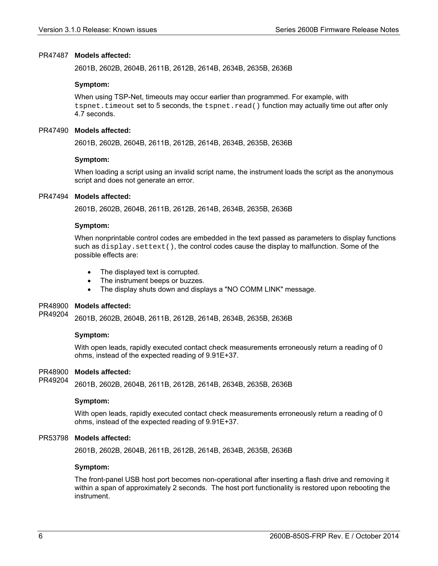#### PR47487 Models affected:

2601B, 2602B, 2604B, 2611B, 2612B, 2614B, 2634B, 2635B, 2636B

#### **Symptom:**

When using TSP-Net, timeouts may occur earlier than programmed. For example, with tspnet.timeout set to 5 seconds, the tspnet.read() function may actually time out after only 4.7 seconds.

#### PR47490 **Models affected:**

2601B, 2602B, 2604B, 2611B, 2612B, 2614B, 2634B, 2635B, 2636B

#### **Symptom:**

When loading a script using an invalid script name, the instrument loads the script as the anonymous script and does not generate an error.

#### PR47494 **Models affected:**

2601B, 2602B, 2604B, 2611B, 2612B, 2614B, 2634B, 2635B, 2636B

#### **Symptom:**

When nonprintable control codes are embedded in the text passed as parameters to display functions such as  $display.settext()$ , the control codes cause the display to malfunction. Some of the possible effects are:

- The displayed text is corrupted.
- The instrument beeps or buzzes.
- The display shuts down and displays a "NO COMM LINK" message.

#### PR48900 **Models affected:**

2601B, 2602B, 2604B, 2611B, 2612B, 2614B, 2634B, 2635B, 2636B PR49204

#### **Symptom:**

With open leads, rapidly executed contact check measurements erroneously return a reading of 0 ohms, instead of the expected reading of 9.91E+37.

#### **Models affected:**  PR48900

2601B, 2602B, 2604B, 2611B, 2612B, 2614B, 2634B, 2635B, 2636B PR49204

#### **Symptom:**

With open leads, rapidly executed contact check measurements erroneously return a reading of 0 ohms, instead of the expected reading of 9.91E+37.

#### **Models affected:**  PR53798

2601B, 2602B, 2604B, 2611B, 2612B, 2614B, 2634B, 2635B, 2636B

#### **Symptom:**

The front-panel USB host port becomes non-operational after inserting a flash drive and removing it within a span of approximately 2 seconds. The host port functionality is restored upon rebooting the instrument.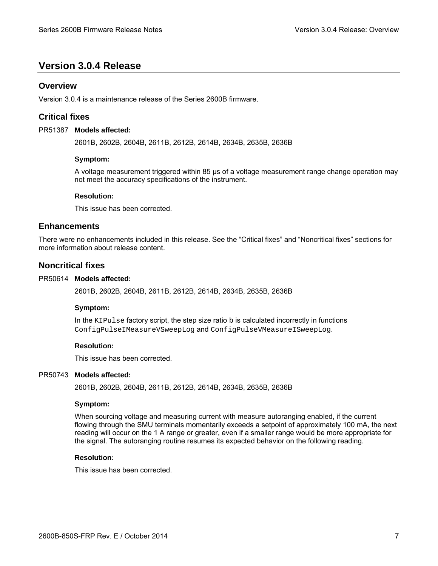# **Version 3.0.4 Release**

## **Overview**

Version 3.0.4 is a maintenance release of the Series 2600B firmware.

# **Critical fixes**

#### PR51387 Models affected:

2601B, 2602B, 2604B, 2611B, 2612B, 2614B, 2634B, 2635B, 2636B

#### **Symptom:**

A voltage measurement triggered within 85 μs of a voltage measurement range change operation may not meet the accuracy specifications of the instrument.

#### **Resolution:**

This issue has been corrected.

### **Enhancements**

There were no enhancements included in this release. See the "Critical fixes" and "Noncritical fixes" sections for more information about release content.

## **Noncritical fixes**

#### PR50614 Models affected:

2601B, 2602B, 2604B, 2611B, 2612B, 2614B, 2634B, 2635B, 2636B

#### **Symptom:**

In the KIPulse factory script, the step size ratio b is calculated incorrectly in functions ConfigPulseIMeasureVSweepLog and ConfigPulseVMeasureISweepLog.

#### **Resolution:**

This issue has been corrected.

#### PR50743 **Models affected:**

2601B, 2602B, 2604B, 2611B, 2612B, 2614B, 2634B, 2635B, 2636B

#### **Symptom:**

When sourcing voltage and measuring current with measure autoranging enabled, if the current flowing through the SMU terminals momentarily exceeds a setpoint of approximately 100 mA, the next reading will occur on the 1 A range or greater, even if a smaller range would be more appropriate for the signal. The autoranging routine resumes its expected behavior on the following reading.

#### **Resolution:**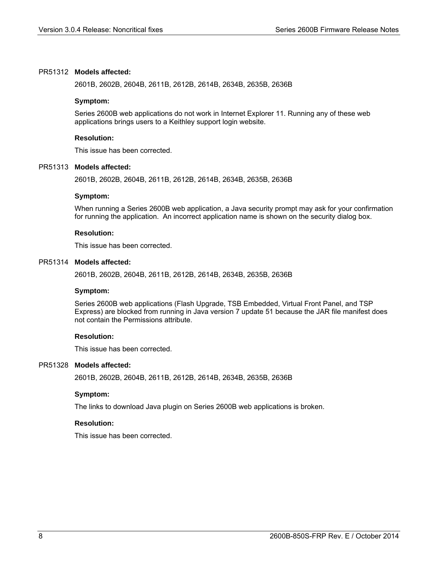#### PR51312 **Models affected:**

2601B, 2602B, 2604B, 2611B, 2612B, 2614B, 2634B, 2635B, 2636B

#### **Symptom:**

Series 2600B web applications do not work in Internet Explorer 11. Running any of these web applications brings users to a Keithley support login website.

#### **Resolution:**

This issue has been corrected.

#### PR51313 **Models affected:**

2601B, 2602B, 2604B, 2611B, 2612B, 2614B, 2634B, 2635B, 2636B

#### **Symptom:**

When running a Series 2600B web application, a Java security prompt may ask for your confirmation for running the application. An incorrect application name is shown on the security dialog box.

#### **Resolution:**

This issue has been corrected.

#### PR51314 **Models affected:**

2601B, 2602B, 2604B, 2611B, 2612B, 2614B, 2634B, 2635B, 2636B

#### **Symptom:**

Series 2600B web applications (Flash Upgrade, TSB Embedded, Virtual Front Panel, and TSP Express) are blocked from running in Java version 7 update 51 because the JAR file manifest does not contain the Permissions attribute.

#### **Resolution:**

This issue has been corrected.

#### PR51328 Models affected:

2601B, 2602B, 2604B, 2611B, 2612B, 2614B, 2634B, 2635B, 2636B

#### **Symptom:**

The links to download Java plugin on Series 2600B web applications is broken.

#### **Resolution:**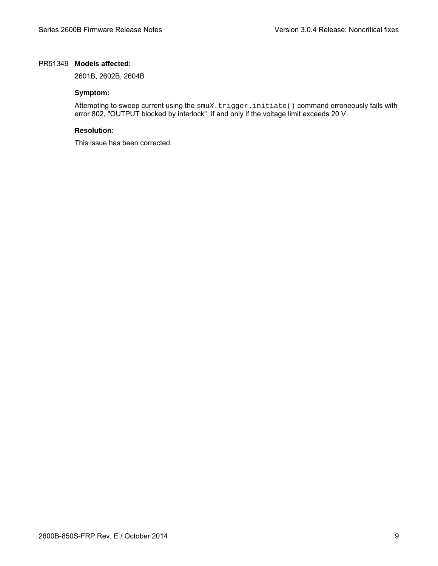#### PR51349 **Models affected:**

2601B, 2602B, 2604B

#### **Symptom:**

Attempting to sweep current using the smux.trigger.initiate() command erroneously fails with error 802, "OUTPUT blocked by interlock", if and only if the voltage limit exceeds 20 V.

#### **Resolution:**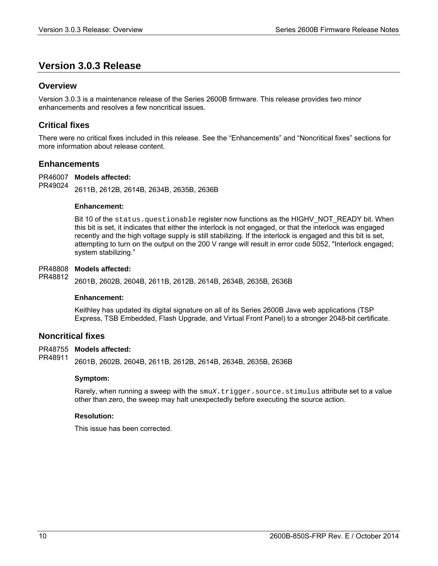# **Version 3.0.3 Release**

# **Overview**

Version 3.0.3 is a maintenance release of the Series 2600B firmware. This release provides two minor enhancements and resolves a few noncritical issues.

# **Critical fixes**

There were no critical fixes included in this release. See the "Enhancements" and "Noncritical fixes" sections for more information about release content.

# **Enhancements**

PR46007 **Models affected:** 2611B, 2612B, 2614B, 2634B, 2635B, 2636B PR49024

#### **Enhancement:**

Bit 10 of the status.questionable register now functions as the HIGHV NOT READY bit. When this bit is set, it indicates that either the interlock is not engaged, or that the interlock was engaged recently and the high voltage supply is still stabilizing. If the interlock is engaged and this bit is set, attempting to turn on the output on the 200 V range will result in error code 5052, "Interlock engaged; system stabilizing."

#### PR48808 **Models affected:**

2601B, 2602B, 2604B, 2611B, 2612B, 2614B, 2634B, 2635B, 2636B PR48812

#### **Enhancement:**

Keithley has updated its digital signature on all of its Series 2600B Java web applications (TSP Express, TSB Embedded, Flash Upgrade, and Virtual Front Panel) to a stronger 2048-bit certificate.

## **Noncritical fixes**

#### **Models affected:**  PR48755

2601B, 2602B, 2604B, 2611B, 2612B, 2614B, 2634B, 2635B, 2636B PR48911

#### **Symptom:**

Rarely, when running a sweep with the  $\text{smu}X$ .trigger.source.stimulus attribute set to a value other than zero, the sweep may halt unexpectedly before executing the source action.

#### **Resolution:**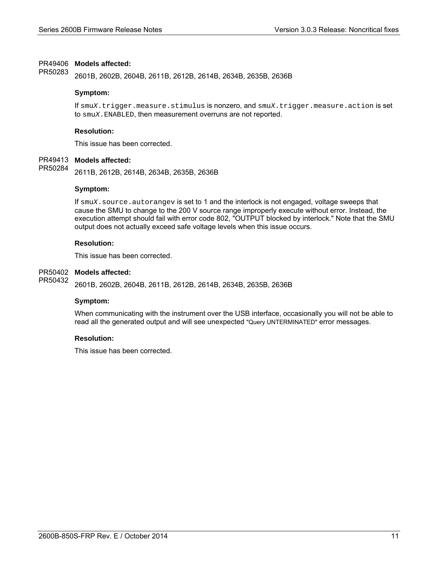#### PR49406 Models affected:

2601B, 2602B, 2604B, 2611B, 2612B, 2614B, 2634B, 2635B, 2636B PR50283

#### **Symptom:**

If smu*X*.trigger.measure.stimulus is nonzero, and smu*X*.trigger.measure.action is set to smu*X*.ENABLED, then measurement overruns are not reported.

#### **Resolution:**

This issue has been corrected.

#### PR49413 **Models affected:**

2611B, 2612B, 2614B, 2634B, 2635B, 2636B PR50284

#### **Symptom:**

If smu*X*.source.autorangev is set to 1 and the interlock is not engaged, voltage sweeps that cause the SMU to change to the 200 V source range improperly execute without error. Instead, the execution attempt should fail with error code 802, "OUTPUT blocked by interlock." Note that the SMU output does not actually exceed safe voltage levels when this issue occurs.

#### **Resolution:**

This issue has been corrected.

#### **Models affected:**  PR50402

2601B, 2602B, 2604B, 2611B, 2612B, 2614B, 2634B, 2635B, 2636B PR50432

#### **Symptom:**

When communicating with the instrument over the USB interface, occasionally you will not be able to read all the generated output and will see unexpected "Query UNTERMINATED" error messages.

#### **Resolution:**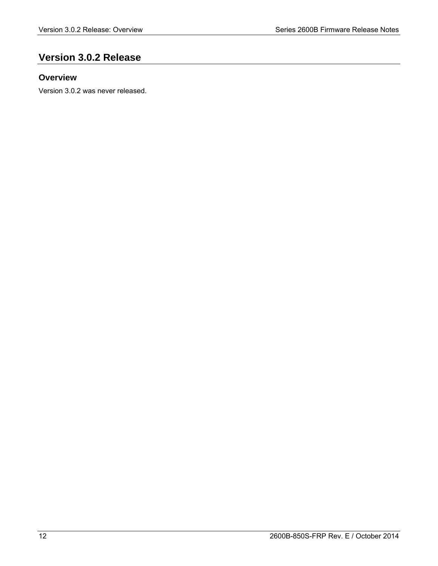# **Version 3.0.2 Release**

# **Overview**

Version 3.0.2 was never released.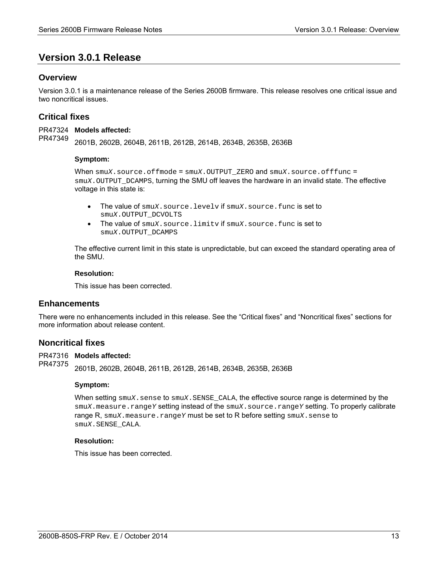# **Version 3.0.1 Release**

# **Overview**

Version 3.0.1 is a maintenance release of the Series 2600B firmware. This release resolves one critical issue and two noncritical issues.

# **Critical fixes**

PR47324 Models affected: PR47349

2601B, 2602B, 2604B, 2611B, 2612B, 2614B, 2634B, 2635B, 2636B

#### **Symptom:**

When smuX.source.offmode = smuX.OUTPUT ZERO and smuX.source.offfunc = smu*X*.OUTPUT\_DCAMPS, turning the SMU off leaves the hardware in an invalid state. The effective voltage in this state is:

- The value of smu*X*.source.levelv if smu*X*.source.func is set to smu*X*.OUTPUT\_DCVOLTS
- The value of smu*X*.source.limitv if smu*X*.source.func is set to smu*X*.OUTPUT\_DCAMPS

The effective current limit in this state is unpredictable, but can exceed the standard operating area of the SMU.

#### **Resolution:**

This issue has been corrected.

## **Enhancements**

There were no enhancements included in this release. See the "Critical fixes" and "Noncritical fixes" sections for more information about release content.

#### **Noncritical fixes**

PR47316 Models affected: PR47375

2601B, 2602B, 2604B, 2611B, 2612B, 2614B, 2634B, 2635B, 2636B

#### **Symptom:**

When setting smu*X*.sense to smu*X*.SENSE\_CALA, the effective source range is determined by the smu*X*.measure.range*Y* setting instead of the smu*X*.source.range*Y* setting. To properly calibrate range R, smu*X*.measure.range*Y* must be set to R before setting smu*X*.sense to smu*X*.SENSE\_CALA.

#### **Resolution:**